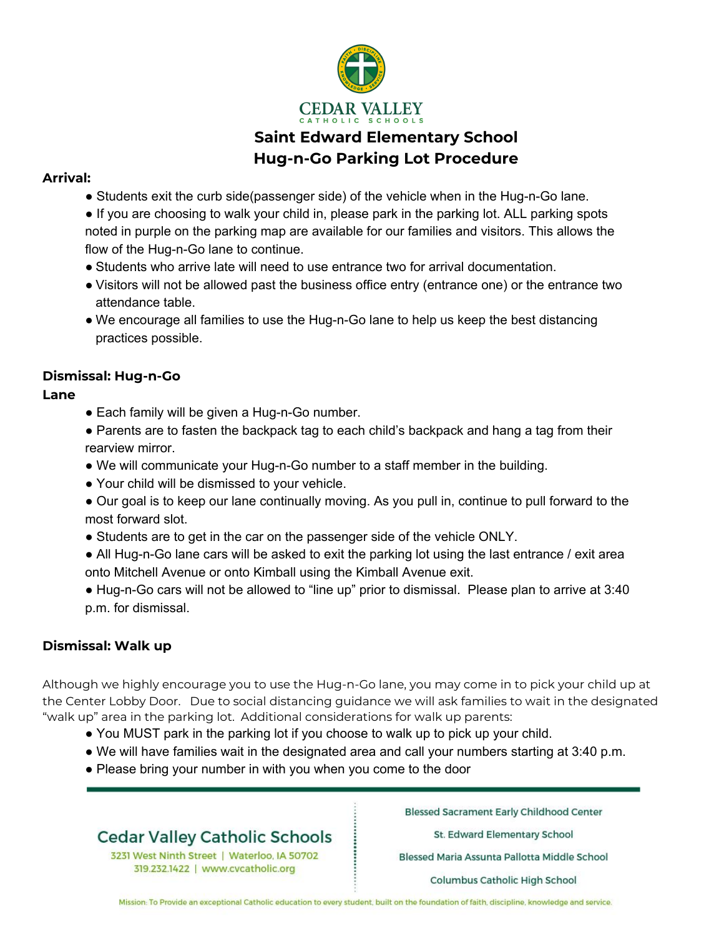

# **Saint Edward Elementary School Hug-n-Go Parking Lot Procedure**

### **Arrival:**

- Students exit the curb side(passenger side) of the vehicle when in the Hug-n-Go lane.
- If you are choosing to walk your child in, please park in the parking lot. ALL parking spots noted in purple on the parking map are available for our families and visitors. This allows the flow of the Hug-n-Go lane to continue.
- Students who arrive late will need to use entrance two for arrival documentation.
- Visitors will not be allowed past the business office entry (entrance one) or the entrance two attendance table.
- We encourage all families to use the Hug-n-Go lane to help us keep the best distancing practices possible.

## **Dismissal: Hug-n-Go**

## **Lane**

- Each family will be given a Hug-n-Go number.
- Parents are to fasten the backpack tag to each child's backpack and hang a tag from their rearview mirror.
- We will communicate your Hug-n-Go number to a staff member in the building.
- Your child will be dismissed to your vehicle.
- Our goal is to keep our lane continually moving. As you pull in, continue to pull forward to the most forward slot.
- Students are to get in the car on the passenger side of the vehicle ONLY.
- All Hug-n-Go lane cars will be asked to exit the parking lot using the last entrance / exit area onto Mitchell Avenue or onto Kimball using the Kimball Avenue exit.
- Hug-n-Go cars will not be allowed to "line up" prior to dismissal. Please plan to arrive at 3:40 p.m. for dismissal.

## **Dismissal: Walk up**

Although we highly encourage you to use the Hug-n-Go lane, you may come in to pick your child up at the Center Lobby Door. Due to social distancing guidance we will ask families to wait in the designated "walk up" area in the parking lot. Additional considerations for walk up parents:

- You MUST park in the parking lot if you choose to walk up to pick up your child.
- We will have families wait in the designated area and call your numbers starting at 3:40 p.m.
- Please bring your number in with you when you come to the door

# **Cedar Valley Catholic Schools**

3231 West Ninth Street | Waterloo, IA 50702 319.232.1422 | www.cvcatholic.org

**Blessed Sacrament Early Childhood Center** 

St. Edward Elementary School

Blessed Maria Assunta Pallotta Middle School

Columbus Catholic High School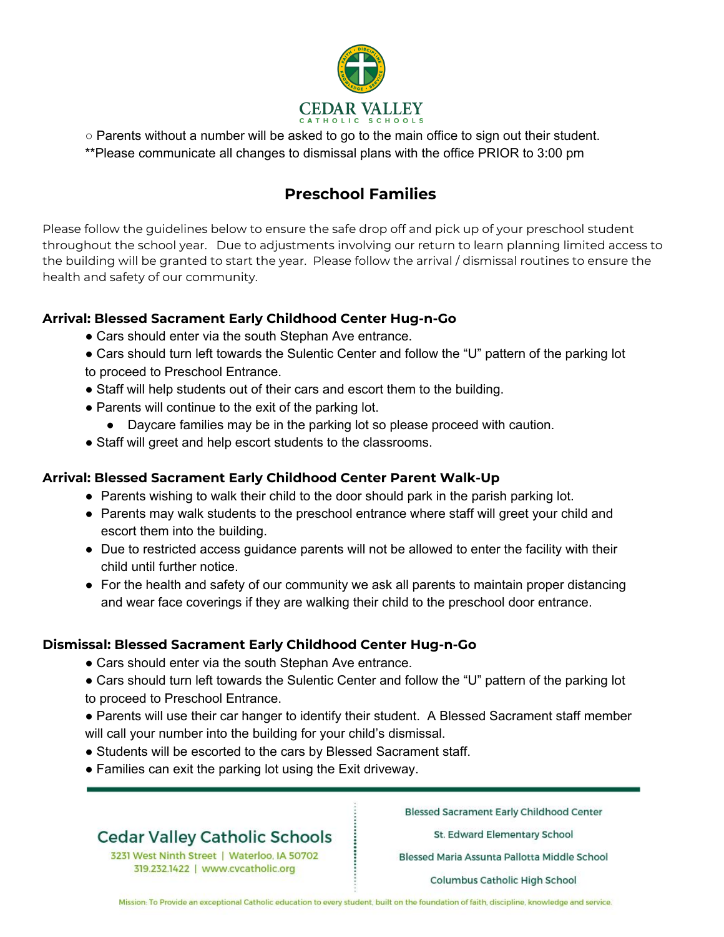

○ Parents without a number will be asked to go to the main office to sign out their student.

\*\*Please communicate all changes to dismissal plans with the office PRIOR to 3:00 pm

## **Preschool Families**

Please follow the guidelines below to ensure the safe drop off and pick up of your preschool student throughout the school year. Due to adjustments involving our return to learn planning limited access to the building will be granted to start the year. Please follow the arrival / dismissal routines to ensure the health and safety of our community.

### **Arrival: Blessed Sacrament Early Childhood Center Hug-n-Go**

- Cars should enter via the south Stephan Ave entrance.
- Cars should turn left towards the Sulentic Center and follow the "U" pattern of the parking lot to proceed to Preschool Entrance.
- Staff will help students out of their cars and escort them to the building.
- Parents will continue to the exit of the parking lot.
	- Daycare families may be in the parking lot so please proceed with caution.
- Staff will greet and help escort students to the classrooms.

## **Arrival: Blessed Sacrament Early Childhood Center Parent Walk-Up**

- Parents wishing to walk their child to the door should park in the parish parking lot.
- Parents may walk students to the preschool entrance where staff will greet your child and escort them into the building.
- Due to restricted access guidance parents will not be allowed to enter the facility with their child until further notice.
- For the health and safety of our community we ask all parents to maintain proper distancing and wear face coverings if they are walking their child to the preschool door entrance.

### **Dismissal: Blessed Sacrament Early Childhood Center Hug-n-Go**

- Cars should enter via the south Stephan Ave entrance.
- Cars should turn left towards the Sulentic Center and follow the "U" pattern of the parking lot to proceed to Preschool Entrance.
- Parents will use their car hanger to identify their student. A Blessed Sacrament staff member will call your number into the building for your child's dismissal.
- Students will be escorted to the cars by Blessed Sacrament staff.
- Families can exit the parking lot using the Exit driveway.

# **Cedar Valley Catholic Schools**

3231 West Ninth Street | Waterloo, IA 50702 319.232.1422 | www.cvcatholic.org

**Blessed Sacrament Early Childhood Center** 

St. Edward Elementary School

Blessed Maria Assunta Pallotta Middle School

Columbus Catholic High School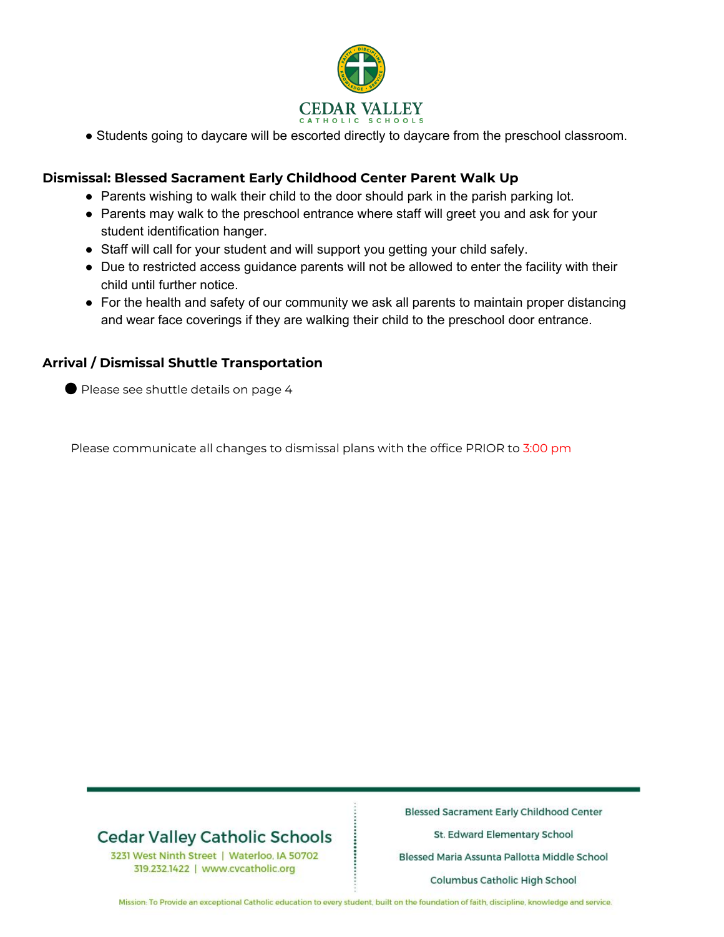

● Students going to daycare will be escorted directly to daycare from the preschool classroom.

#### **Dismissal: Blessed Sacrament Early Childhood Center Parent Walk Up**

- Parents wishing to walk their child to the door should park in the parish parking lot.
- Parents may walk to the preschool entrance where staff will greet you and ask for your student identification hanger.
- Staff will call for your student and will support you getting your child safely.
- Due to restricted access guidance parents will not be allowed to enter the facility with their child until further notice.
- For the health and safety of our community we ask all parents to maintain proper distancing and wear face coverings if they are walking their child to the preschool door entrance.

#### **Arrival / Dismissal Shuttle Transportation**

● Please see shuttle details on page 4

Please communicate all changes to dismissal plans with the office PRIOR to 3:00 pm

# **Cedar Valley Catholic Schools**

3231 West Ninth Street | Waterloo, IA 50702 319.232.1422 | www.cvcatholic.org

**Blessed Sacrament Early Childhood Center** 

St. Edward Elementary School

Blessed Maria Assunta Pallotta Middle School

Columbus Catholic High School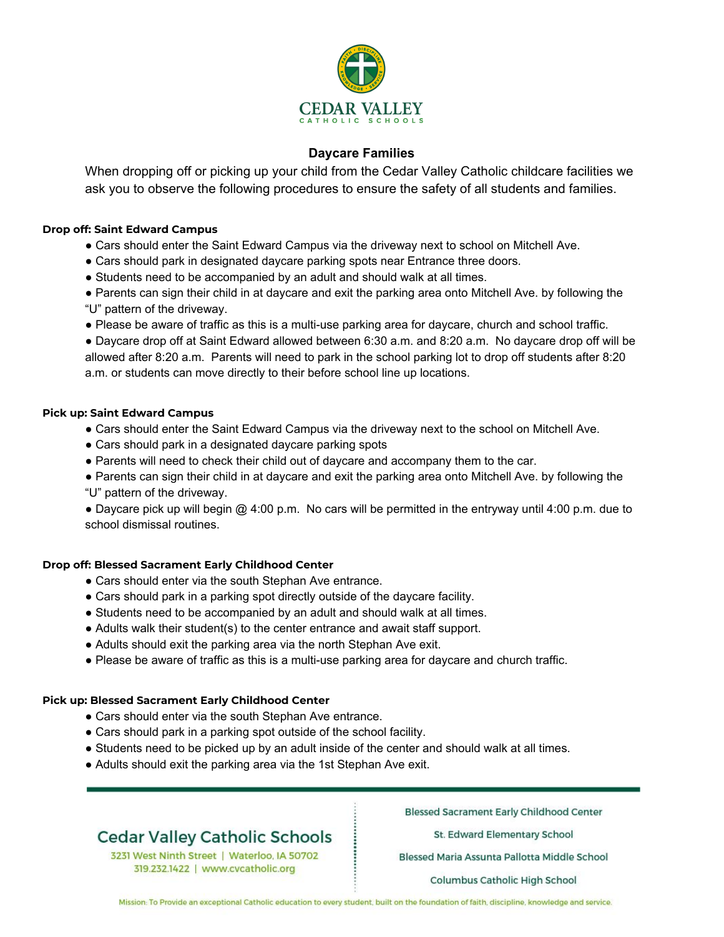

### **Daycare Families**

When dropping off or picking up your child from the Cedar Valley Catholic childcare facilities we ask you to observe the following procedures to ensure the safety of all students and families.

#### **Drop off: Saint Edward Campus**

- Cars should enter the Saint Edward Campus via the driveway next to school on Mitchell Ave.
- Cars should park in designated daycare parking spots near Entrance three doors.
- Students need to be accompanied by an adult and should walk at all times.
- Parents can sign their child in at daycare and exit the parking area onto Mitchell Ave. by following the "U" pattern of the driveway.
- Please be aware of traffic as this is a multi-use parking area for daycare, church and school traffic.

● Daycare drop off at Saint Edward allowed between 6:30 a.m. and 8:20 a.m. No daycare drop off will be allowed after 8:20 a.m. Parents will need to park in the school parking lot to drop off students after 8:20 a.m. or students can move directly to their before school line up locations.

#### **Pick up: Saint Edward Campus**

- Cars should enter the Saint Edward Campus via the driveway next to the school on Mitchell Ave.
- Cars should park in a designated daycare parking spots
- Parents will need to check their child out of daycare and accompany them to the car.
- Parents can sign their child in at daycare and exit the parking area onto Mitchell Ave. by following the "U" pattern of the driveway.

● Daycare pick up will begin @ 4:00 p.m. No cars will be permitted in the entryway until 4:00 p.m. due to school dismissal routines.

#### **Drop off: Blessed Sacrament Early Childhood Center**

- Cars should enter via the south Stephan Ave entrance.
- Cars should park in a parking spot directly outside of the daycare facility.
- Students need to be accompanied by an adult and should walk at all times.
- Adults walk their student(s) to the center entrance and await staff support.
- Adults should exit the parking area via the north Stephan Ave exit.
- Please be aware of traffic as this is a multi-use parking area for daycare and church traffic.

#### **Pick up: Blessed Sacrament Early Childhood Center**

- Cars should enter via the south Stephan Ave entrance.
- Cars should park in a parking spot outside of the school facility.
- Students need to be picked up by an adult inside of the center and should walk at all times.
- Adults should exit the parking area via the 1st Stephan Ave exit.

# **Cedar Valley Catholic Schools**

3231 West Ninth Street | Waterloo, IA 50702 319.232.1422 | www.cvcatholic.org

**Blessed Sacrament Early Childhood Center** 

St. Edward Elementary School

Blessed Maria Assunta Pallotta Middle School

Columbus Catholic High School